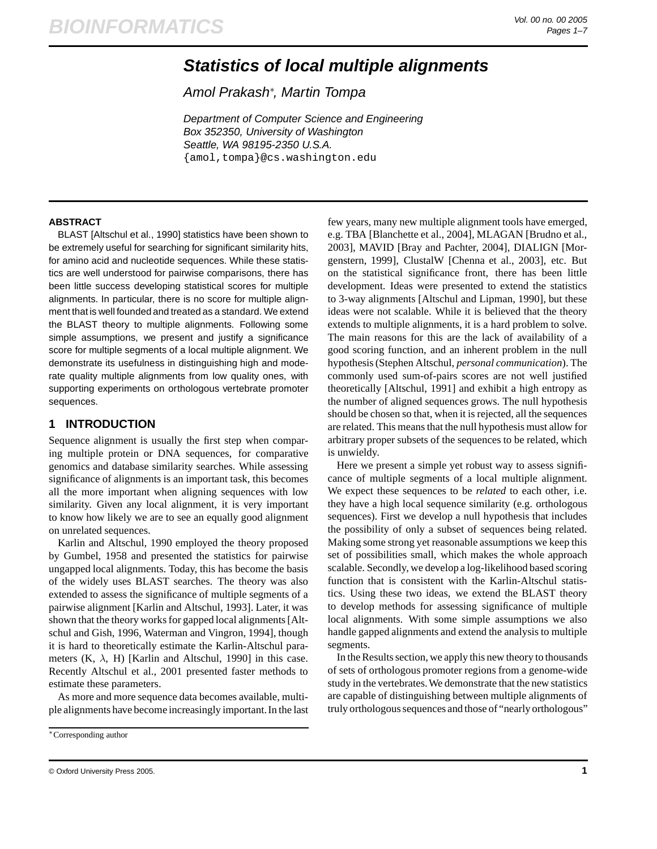# **Statistics of local multiple alignments**

Amol Prakash<sup>∗</sup> , Martin Tompa

Department of Computer Science and Engineering Box 352350, University of Washington Seattle, WA 98195-2350 U.S.A. {amol,tompa}@cs.washington.edu

# **ABSTRACT**

BLAST [Altschul et al., 1990] statistics have been shown to be extremely useful for searching for significant similarity hits, for amino acid and nucleotide sequences. While these statistics are well understood for pairwise comparisons, there has been little success developing statistical scores for multiple alignments. In particular, there is no score for multiple alignment that is well founded and treated as a standard. We extend the BLAST theory to multiple alignments. Following some simple assumptions, we present and justify a significance score for multiple segments of a local multiple alignment. We demonstrate its usefulness in distinguishing high and moderate quality multiple alignments from low quality ones, with supporting experiments on orthologous vertebrate promoter sequences.

# **1 INTRODUCTION**

Sequence alignment is usually the first step when comparing multiple protein or DNA sequences, for comparative genomics and database similarity searches. While assessing significance of alignments is an important task, this becomes all the more important when aligning sequences with low similarity. Given any local alignment, it is very important to know how likely we are to see an equally good alignment on unrelated sequences.

Karlin and Altschul, 1990 employed the theory proposed by Gumbel, 1958 and presented the statistics for pairwise ungapped local alignments. Today, this has become the basis of the widely uses BLAST searches. The theory was also extended to assess the significance of multiple segments of a pairwise alignment [Karlin and Altschul, 1993]. Later, it was shown that the theory works for gapped local alignments [Altschul and Gish, 1996, Waterman and Vingron, 1994], though it is hard to theoretically estimate the Karlin-Altschul parameters  $(K, \lambda, H)$  [Karlin and Altschul, 1990] in this case. Recently Altschul et al., 2001 presented faster methods to estimate these parameters.

As more and more sequence data becomes available, multiple alignments have become increasingly important.In the last

few years, many new multiple alignment tools have emerged, e.g. TBA [Blanchette et al., 2004], MLAGAN [Brudno et al., 2003], MAVID [Bray and Pachter, 2004], DIALIGN [Morgenstern, 1999], ClustalW [Chenna et al., 2003], etc. But on the statistical significance front, there has been little development. Ideas were presented to extend the statistics to 3-way alignments [Altschul and Lipman, 1990], but these ideas were not scalable. While it is believed that the theory extends to multiple alignments, it is a hard problem to solve. The main reasons for this are the lack of availability of a good scoring function, and an inherent problem in the null hypothesis(Stephen Altschul, *personal communication*). The commonly used sum-of-pairs scores are not well justified theoretically [Altschul, 1991] and exhibit a high entropy as the number of aligned sequences grows. The null hypothesis should be chosen so that, when it is rejected, all the sequences are related. This meansthat the null hypothesis must allow for arbitrary proper subsets of the sequences to be related, which is unwieldy.

Here we present a simple yet robust way to assess significance of multiple segments of a local multiple alignment. We expect these sequences to be *related* to each other, i.e. they have a high local sequence similarity (e.g. orthologous sequences). First we develop a null hypothesis that includes the possibility of only a subset of sequences being related. Making some strong yet reasonable assumptions we keep this set of possibilities small, which makes the whole approach scalable. Secondly, we develop a log-likelihood based scoring function that is consistent with the Karlin-Altschul statistics. Using these two ideas, we extend the BLAST theory to develop methods for assessing significance of multiple local alignments. With some simple assumptions we also handle gapped alignments and extend the analysis to multiple segments.

In the Results section, we apply this new theory to thousands of sets of orthologous promoter regions from a genome-wide study in the vertebrates.We demonstrate that the new statistics are capable of distinguishing between multiple alignments of truly orthologous sequences and those of "nearly orthologous"

<sup>∗</sup>Corresponding author

<sup>©</sup> Oxford University Press 2005. **1**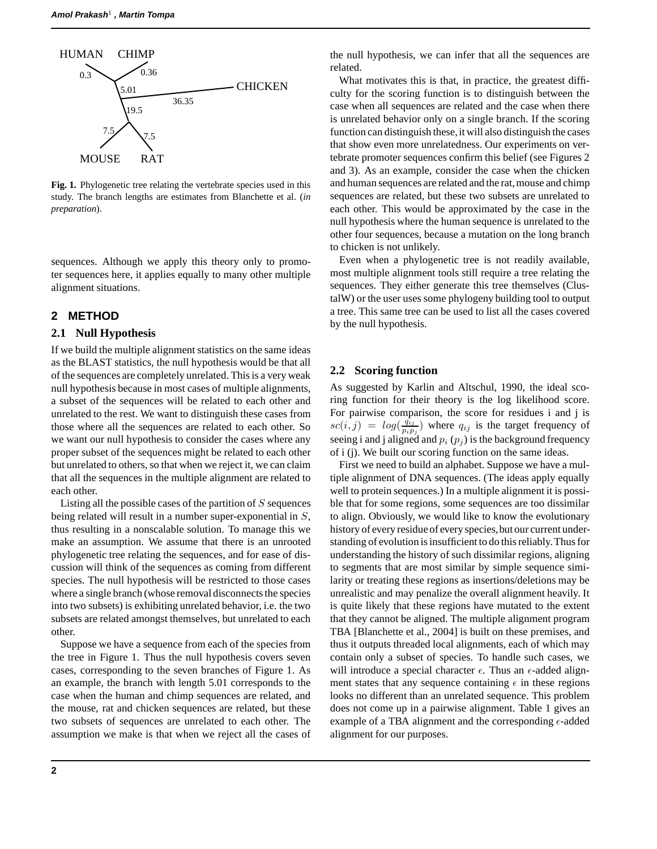

**Fig. 1.** Phylogenetic tree relating the vertebrate species used in this study. The branch lengths are estimates from Blanchette et al. (*in preparation*).

sequences. Although we apply this theory only to promoter sequences here, it applies equally to many other multiple alignment situations.

# **2 METHOD**

#### **2.1 Null Hypothesis**

If we build the multiple alignment statistics on the same ideas as the BLAST statistics, the null hypothesis would be that all of the sequences are completely unrelated. Thisis a very weak null hypothesis because in most cases of multiple alignments, a subset of the sequences will be related to each other and unrelated to the rest. We want to distinguish these cases from those where all the sequences are related to each other. So we want our null hypothesis to consider the cases where any proper subset of the sequences might be related to each other but unrelated to others, so that when we reject it, we can claim that all the sequences in the multiple alignment are related to each other.

Listing all the possible cases of the partition of  $S$  sequences being related will result in a number super-exponential in S, thus resulting in a nonscalable solution. To manage this we make an assumption. We assume that there is an unrooted phylogenetic tree relating the sequences, and for ease of discussion will think of the sequences as coming from different species. The null hypothesis will be restricted to those cases where a single branch (whose removal disconnects the species into two subsets) is exhibiting unrelated behavior, i.e. the two subsets are related amongst themselves, but unrelated to each other.

Suppose we have a sequence from each of the species from the tree in Figure 1. Thus the null hypothesis covers seven cases, corresponding to the seven branches of Figure 1. As an example, the branch with length 5.01 corresponds to the case when the human and chimp sequences are related, and the mouse, rat and chicken sequences are related, but these two subsets of sequences are unrelated to each other. The assumption we make is that when we reject all the cases of the null hypothesis, we can infer that all the sequences are related.

What motivates this is that, in practice, the greatest difficulty for the scoring function is to distinguish between the case when all sequences are related and the case when there is unrelated behavior only on a single branch. If the scoring function can distinguish these, it will also distinguish the cases that show even more unrelatedness. Our experiments on vertebrate promoter sequences confirm this belief (see Figures 2 and 3). As an example, consider the case when the chicken and human sequences are related and the rat, mouse and chimp sequences are related, but these two subsets are unrelated to each other. This would be approximated by the case in the null hypothesis where the human sequence is unrelated to the other four sequences, because a mutation on the long branch to chicken is not unlikely.

Even when a phylogenetic tree is not readily available, most multiple alignment tools still require a tree relating the sequences. They either generate this tree themselves (ClustalW) or the user uses some phylogeny building tool to output a tree. This same tree can be used to list all the cases covered by the null hypothesis.

## **2.2 Scoring function**

As suggested by Karlin and Altschul, 1990, the ideal scoring function for their theory is the log likelihood score. For pairwise comparison, the score for residues i and j is  $\textit{sc}(i, j) = \log(\frac{q_{ij}}{n_{ij}})$  $\frac{q_{ij}}{p_i p_j}$ ) where  $q_{ij}$  is the target frequency of seeing i and j aligned and  $p_i$  ( $p_j$ ) is the background frequency of i (j). We built our scoring function on the same ideas.

First we need to build an alphabet. Suppose we have a multiple alignment of DNA sequences. (The ideas apply equally well to protein sequences.) In a multiple alignment it is possible that for some regions, some sequences are too dissimilar to align. Obviously, we would like to know the evolutionary history of every residue of every species, but our current understanding of evolution is insufficient to do this reliably. Thus for understanding the history of such dissimilar regions, aligning to segments that are most similar by simple sequence similarity or treating these regions as insertions/deletions may be unrealistic and may penalize the overall alignment heavily. It is quite likely that these regions have mutated to the extent that they cannot be aligned. The multiple alignment program TBA [Blanchette et al., 2004] is built on these premises, and thus it outputs threaded local alignments, each of which may contain only a subset of species. To handle such cases, we will introduce a special character  $\epsilon$ . Thus an  $\epsilon$ -added alignment states that any sequence containing  $\epsilon$  in these regions looks no different than an unrelated sequence. This problem does not come up in a pairwise alignment. Table 1 gives an example of a TBA alignment and the corresponding  $\epsilon$ -added alignment for our purposes.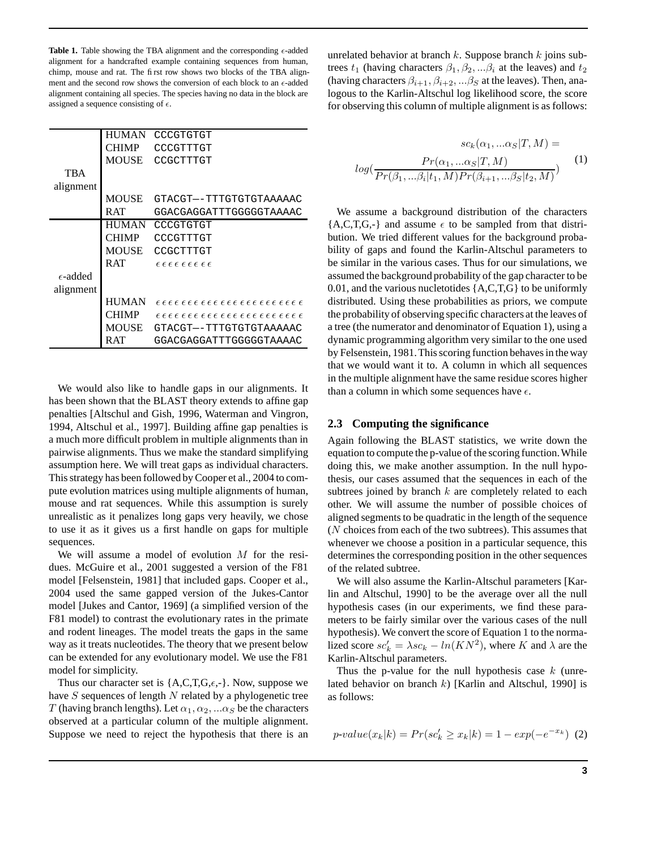**Table 1.** Table showing the TBA alignment and the corresponding  $\epsilon$ -added alignment for a handcrafted example containing sequences from human, chimp, mouse and rat. The first row shows two blocks of the TBA alignment and the second row shows the conversion of each block to an  $\epsilon$ -added alignment containing all species. The species having no data in the block are assigned a sequence consisting of  $\epsilon$ .

|                   | <b>HUMAN</b> | CCCGTGTGT                    |
|-------------------|--------------|------------------------------|
|                   | <b>CHIMP</b> | CCCGTTTGT                    |
|                   | <b>MOUSE</b> | CCGCTTTGT                    |
| TBA               |              |                              |
| alignment         |              |                              |
|                   | MOUSE        | GTACGT--TTTGTGTGTAAAAAC      |
|                   | R AT         | GGACGAGGATTTGGGGGTAAAAC      |
|                   | <b>HUMAN</b> | CCCGTGTGT                    |
|                   | <b>CHIMP</b> | CCCGTTTGT                    |
|                   | MOUSE        | CCGCTTTGT                    |
|                   | R AT         | 666666666                    |
| $\epsilon$ -added |              |                              |
| alignment         |              |                              |
|                   | <b>HUMAN</b> |                              |
|                   | <b>CHIMP</b> | <u>EEEEEEEEEEEEEEEEEEEEE</u> |
|                   | MOUSE        | GTACGT--TTTGTGTGTAAAAAC      |
|                   | R AT         | GGACGAGGATTTGGGGGTAAAAC      |

We would also like to handle gaps in our alignments. It has been shown that the BLAST theory extends to affine gap penalties [Altschul and Gish, 1996, Waterman and Vingron, 1994, Altschul et al., 1997]. Building affine gap penalties is a much more difficult problem in multiple alignments than in pairwise alignments. Thus we make the standard simplifying assumption here. We will treat gaps as individual characters. This strategy has been followed by Cooper et al., 2004 to compute evolution matrices using multiple alignments of human, mouse and rat sequences. While this assumption is surely unrealistic as it penalizes long gaps very heavily, we chose to use it as it gives us a first handle on gaps for multiple sequences.

We will assume a model of evolution  $M$  for the residues. McGuire et al., 2001 suggested a version of the F81 model [Felsenstein, 1981] that included gaps. Cooper et al., 2004 used the same gapped version of the Jukes-Cantor model [Jukes and Cantor, 1969] (a simplified version of the F81 model) to contrast the evolutionary rates in the primate and rodent lineages. The model treats the gaps in the same way as it treats nucleotides. The theory that we present below can be extended for any evolutionary model. We use the F81 model for simplicity.

Thus our character set is  ${A, C, T, G, \epsilon, -}$ . Now, suppose we have  $S$  sequences of length  $N$  related by a phylogenetic tree T (having branch lengths). Let  $\alpha_1, \alpha_2, \ldots \alpha_S$  be the characters observed at a particular column of the multiple alignment. Suppose we need to reject the hypothesis that there is an

unrelated behavior at branch k. Suppose branch k joins subtrees  $t_1$  (having characters  $\beta_1, \beta_2, \ldots, \beta_i$  at the leaves) and  $t_2$ (having characters  $\beta_{i+1}, \beta_{i+2}, \ldots \beta_S$  at the leaves). Then, analogous to the Karlin-Altschul log likelihood score, the score for observing this column of multiple alignment is as follows:

$$
sc_k(\alpha_1, \dots \alpha_S | T, M) =
$$

$$
log(\frac{Pr(\alpha_1, \dots \alpha_S | T, M)}{Pr(\beta_1, \dots \beta_i | t_1, M) Pr(\beta_{i+1}, \dots \beta_S | t_2, M)})
$$
(1)

We assume a background distribution of the characters  ${A, C, T, G, -}$  and assume  $\epsilon$  to be sampled from that distribution. We tried different values for the background probability of gaps and found the Karlin-Altschul parameters to be similar in the various cases. Thus for our simulations, we assumed the background probability of the gap character to be 0.01, and the various nucletotides {A,C,T,G} to be uniformly distributed. Using these probabilities as priors, we compute the probability of observing specific characters at the leaves of a tree (the numerator and denominator of Equation 1), using a dynamic programming algorithm very similar to the one used by Felsenstein, 1981. This scoring function behaves in the way that we would want it to. A column in which all sequences in the multiple alignment have the same residue scores higher than a column in which some sequences have  $\epsilon$ .

#### **2.3 Computing the significance**

Again following the BLAST statistics, we write down the equation to compute the p-value of the scoring function. While doing this, we make another assumption. In the null hypothesis, our cases assumed that the sequences in each of the subtrees joined by branch  $k$  are completely related to each other. We will assume the number of possible choices of aligned segments to be quadratic in the length of the sequence (N choices from each of the two subtrees). This assumes that whenever we choose a position in a particular sequence, this determines the corresponding position in the other sequences of the related subtree.

We will also assume the Karlin-Altschul parameters [Karlin and Altschul, 1990] to be the average over all the null hypothesis cases (in our experiments, we find these parameters to be fairly similar over the various cases of the null hypothesis). We convert the score of Equation 1 to the normalized score  $sc'_k = \lambda sc_k - ln(KN^2)$ , where K and  $\lambda$  are the Karlin-Altschul parameters.

Thus the p-value for the null hypothesis case  $k$  (unrelated behavior on branch  $k$ ) [Karlin and Altschul, 1990] is as follows:

$$
p-value(x_k|k) = Pr(sc'_k \ge x_k|k) = 1 - exp(-e^{-x_k})
$$
 (2)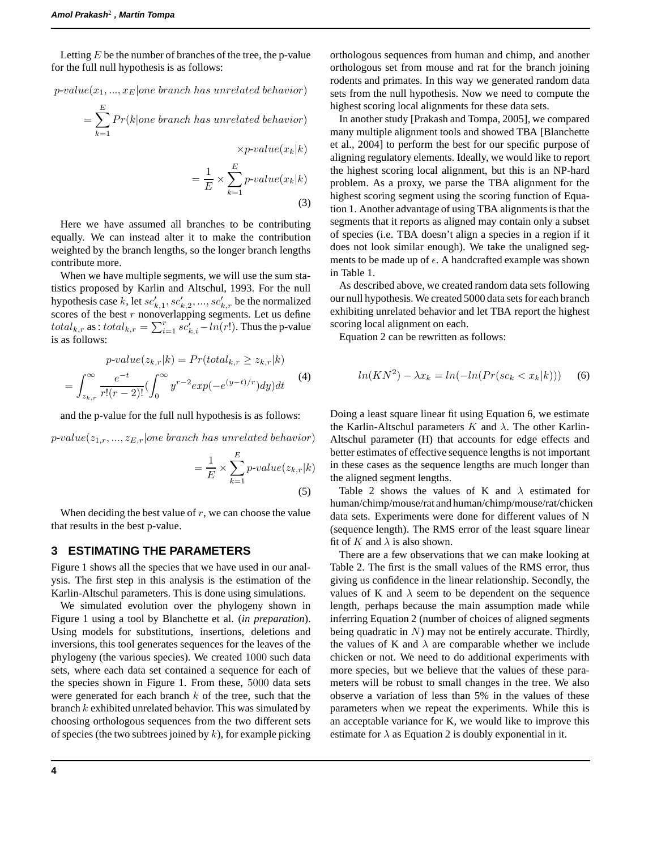$k=1$ 

Letting  $E$  be the number of branches of the tree, the p-value for the full null hypothesis is as follows:

 $p-value(x_1, ..., x_F)$  one branch has unrelated behavior)  $=$   $\sum$ E  $Pr(k|one\ branch\ has\ unrelated\ behavior)$ 

$$
\times p-value(x_k|k)
$$

$$
= \frac{1}{E} \times \sum_{k=1}^{E} p-value(x_k|k)
$$
(3)

Here we have assumed all branches to be contributing equally. We can instead alter it to make the contribution weighted by the branch lengths, so the longer branch lengths contribute more.

When we have multiple segments, we will use the sum statistics proposed by Karlin and Altschul, 1993. For the null hypothesis case k, let  $\mathit{sc}'_{k,1}, \mathit{sc}'_{k,2}, ..., \mathit{sc}'_{k,r}$  be the normalized scores of the best  $r$  nonoverlapping segments. Let us define  $total_{k,r}$  as :  $total_{k,r} = \sum_{i=1}^{r} sc'_{k,i} - ln(r!)$ . Thus the p-value is as follows:

$$
p-value(z_{k,r}|k) = Pr(total_{k,r} \ge z_{k,r}|k)
$$

$$
= \int_{z_{k,r}}^{\infty} \frac{e^{-t}}{r!(r-2)!} \left(\int_0^{\infty} y^{r-2} exp(-e^{(y-t)/r}) dy\right) dt
$$
(4)

and the p-value for the full null hypothesis is as follows:

 $p-value(z_{1,r},...,z_{E,r}|\text{one branch has unrelated behavior})$ 

$$
= \frac{1}{E} \times \sum_{k=1}^{E} p\text{-value}(z_{k,r}|k)
$$
\n(5)

When deciding the best value of  $r$ , we can choose the value that results in the best p-value.

## **3 ESTIMATING THE PARAMETERS**

Figure 1 shows all the species that we have used in our analysis. The first step in this analysis is the estimation of the Karlin-Altschul parameters. This is done using simulations.

We simulated evolution over the phylogeny shown in Figure 1 using a tool by Blanchette et al. (*in preparation*). Using models for substitutions, insertions, deletions and inversions, this tool generates sequences for the leaves of the phylogeny (the various species). We created 1000 such data sets, where each data set contained a sequence for each of the species shown in Figure 1. From these, 5000 data sets were generated for each branch  $k$  of the tree, such that the branch k exhibited unrelated behavior. This was simulated by choosing orthologous sequences from the two different sets of species (the two subtrees joined by  $k$ ), for example picking

orthologous sequences from human and chimp, and another orthologous set from mouse and rat for the branch joining rodents and primates. In this way we generated random data sets from the null hypothesis. Now we need to compute the highest scoring local alignments for these data sets.

In another study [Prakash and Tompa, 2005], we compared many multiple alignment tools and showed TBA [Blanchette et al., 2004] to perform the best for our specific purpose of aligning regulatory elements. Ideally, we would like to report the highest scoring local alignment, but this is an NP-hard problem. As a proxy, we parse the TBA alignment for the highest scoring segment using the scoring function of Equation 1. Another advantage of using TBA alignments is that the segments that it reports as aligned may contain only a subset of species (i.e. TBA doesn't align a species in a region if it does not look similar enough). We take the unaligned segments to be made up of  $\epsilon$ . A handcrafted example was shown in Table 1.

As described above, we created random data sets following our null hypothesis. We created 5000 data sets for each branch exhibiting unrelated behavior and let TBA report the highest scoring local alignment on each.

Equation 2 can be rewritten as follows:

$$
ln(KN^2) - \lambda x_k = ln(-ln(Pr(sc_k < x_k|k))) \tag{6}
$$

Doing a least square linear fit using Equation 6, we estimate the Karlin-Altschul parameters K and  $\lambda$ . The other Karlin-Altschul parameter (H) that accounts for edge effects and better estimates of effective sequence lengths is not important in these cases as the sequence lengths are much longer than the aligned segment lengths.

Table 2 shows the values of K and  $\lambda$  estimated for human/chimp/mouse/rat and human/chimp/mouse/rat/chicken data sets. Experiments were done for different values of N (sequence length). The RMS error of the least square linear fit of K and  $\lambda$  is also shown.

There are a few observations that we can make looking at Table 2. The first is the small values of the RMS error, thus giving us confidence in the linear relationship. Secondly, the values of K and  $\lambda$  seem to be dependent on the sequence length, perhaps because the main assumption made while inferring Equation 2 (number of choices of aligned segments being quadratic in  $N$ ) may not be entirely accurate. Thirdly, the values of K and  $\lambda$  are comparable whether we include chicken or not. We need to do additional experiments with more species, but we believe that the values of these parameters will be robust to small changes in the tree. We also observe a variation of less than 5% in the values of these parameters when we repeat the experiments. While this is an acceptable variance for K, we would like to improve this estimate for  $\lambda$  as Equation 2 is doubly exponential in it.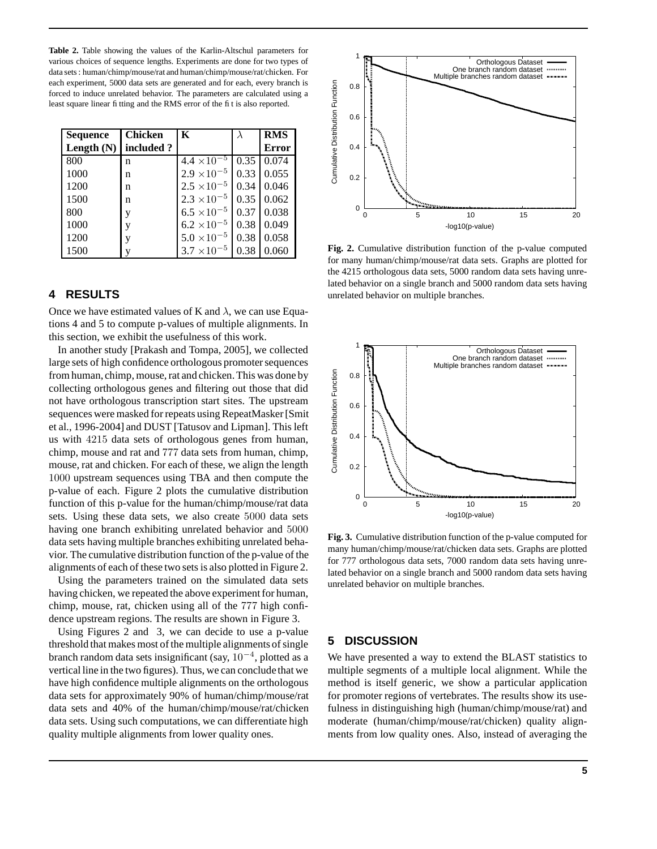**Table 2.** Table showing the values of the Karlin-Altschul parameters for various choices of sequence lengths. Experiments are done for two types of data sets: human/chimp/mouse/rat and human/chimp/mouse/rat/chicken. For each experiment, 5000 data sets are generated and for each, every branch is forced to induce unrelated behavior. The parameters are calculated using a least square linear fitting and the RMS error of the fit is also reported.

| <b>Sequence</b> | Chicken   | K                    |      | <b>RMS</b>   |
|-----------------|-----------|----------------------|------|--------------|
| Length $(N)$    | included? |                      |      | <b>Error</b> |
| 800             | n         | $4.4 \times 10^{-5}$ | 0.35 | 0.074        |
| 1000            | n         | $2.9 \times 10^{-5}$ | 0.33 | 0.055        |
| 1200            | n         | $2.5 \times 10^{-5}$ | 0.34 | 0.046        |
| 1500            | n         | $2.3 \times 10^{-5}$ | 0.35 | 0.062        |
| 800             | V         | $6.5 \times 10^{-5}$ | 0.37 | 0.038        |
| 1000            | v         | $6.2 \times 10^{-5}$ | 0.38 | 0.049        |
| 1200            | v         | $5.0 \times 10^{-5}$ | 0.38 | 0.058        |
| 1500            |           | $3.7 \times 10^{-5}$ | 0.38 | 0.060        |

# **4 RESULTS**

Once we have estimated values of K and  $\lambda$ , we can use Equations 4 and 5 to compute p-values of multiple alignments. In this section, we exhibit the usefulness of this work.

In another study [Prakash and Tompa, 2005], we collected large sets of high confidence orthologous promoter sequences from human, chimp, mouse, rat and chicken. This was done by collecting orthologous genes and filtering out those that did not have orthologous transcription start sites. The upstream sequences were masked for repeats using RepeatMasker [Smit] et al., 1996-2004] and DUST [Tatusov and Lipman]. This left us with 4215 data sets of orthologous genes from human, chimp, mouse and rat and 777 data sets from human, chimp, mouse, rat and chicken. For each of these, we align the length 1000 upstream sequences using TBA and then compute the p-value of each. Figure 2 plots the cumulative distribution function of this p-value for the human/chimp/mouse/rat data sets. Using these data sets, we also create 5000 data sets having one branch exhibiting unrelated behavior and 5000 data sets having multiple branches exhibiting unrelated behavior. The cumulative distribution function of the p-value of the alignments of each of these two sets is also plotted in Figure 2.

Using the parameters trained on the simulated data sets having chicken, we repeated the above experiment for human, chimp, mouse, rat, chicken using all of the 777 high confidence upstream regions. The results are shown in Figure 3.

Using Figures 2 and 3, we can decide to use a p-value threshold that makes most of the multiple alignments of single branch random data sets insignificant (say, 10<sup>−</sup><sup>4</sup> , plotted as a vertical line in the two figures). Thus, we can conclude that we have high confidence multiple alignments on the orthologous data sets for approximately 90% of human/chimp/mouse/rat data sets and 40% of the human/chimp/mouse/rat/chicken data sets. Using such computations, we can differentiate high quality multiple alignments from lower quality ones.



**Fig. 2.** Cumulative distribution function of the p-value computed for many human/chimp/mouse/rat data sets. Graphs are plotted for the 4215 orthologous data sets, 5000 random data sets having unrelated behavior on a single branch and 5000 random data sets having unrelated behavior on multiple branches.



**Fig. 3.** Cumulative distribution function of the p-value computed for many human/chimp/mouse/rat/chicken data sets. Graphs are plotted for 777 orthologous data sets, 7000 random data sets having unrelated behavior on a single branch and 5000 random data sets having unrelated behavior on multiple branches.

#### **5 DISCUSSION**

We have presented a way to extend the BLAST statistics to multiple segments of a multiple local alignment. While the method is itself generic, we show a particular application for promoter regions of vertebrates. The results show its usefulness in distinguishing high (human/chimp/mouse/rat) and moderate (human/chimp/mouse/rat/chicken) quality alignments from low quality ones. Also, instead of averaging the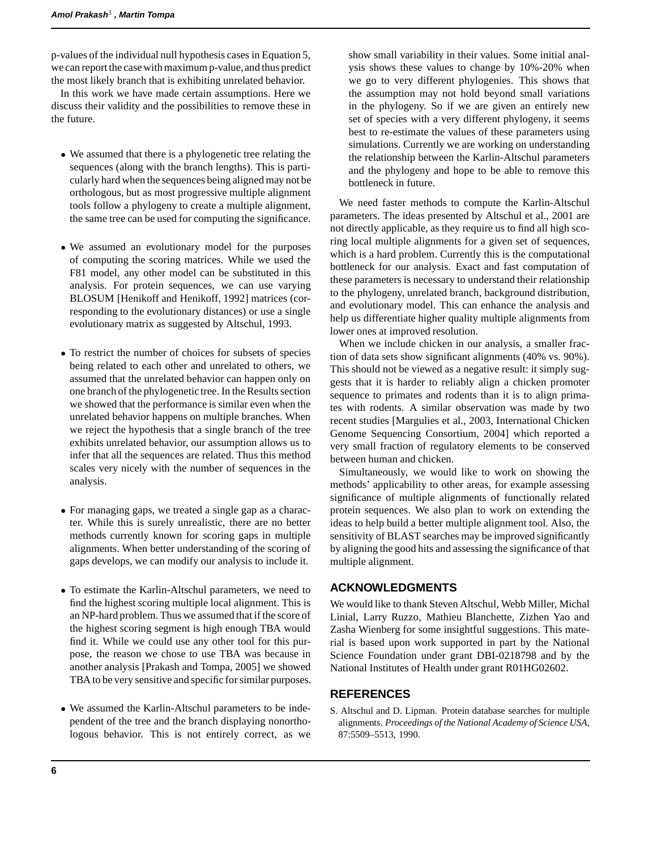p-values of the individual null hypothesis cases in Equation 5, we can report the case with maximum p-value, and thus predict the most likely branch that is exhibiting unrelated behavior.

In this work we have made certain assumptions. Here we discuss their validity and the possibilities to remove these in the future.

- We assumed that there is a phylogenetic tree relating the sequences (along with the branch lengths). This is particularly hard when the sequences being aligned may not be orthologous, but as most progressive multiple alignment tools follow a phylogeny to create a multiple alignment, the same tree can be used for computing the significance.
- We assumed an evolutionary model for the purposes of computing the scoring matrices. While we used the F81 model, any other model can be substituted in this analysis. For protein sequences, we can use varying BLOSUM [Henikoff and Henikoff, 1992] matrices (corresponding to the evolutionary distances) or use a single evolutionary matrix as suggested by Altschul, 1993.
- To restrict the number of choices for subsets of species being related to each other and unrelated to others, we assumed that the unrelated behavior can happen only on one branch of the phylogenetic tree. In the Results section we showed that the performance is similar even when the unrelated behavior happens on multiple branches. When we reject the hypothesis that a single branch of the tree exhibits unrelated behavior, our assumption allows us to infer that all the sequences are related. Thus this method scales very nicely with the number of sequences in the analysis.
- For managing gaps, we treated a single gap as a character. While this is surely unrealistic, there are no better methods currently known for scoring gaps in multiple alignments. When better understanding of the scoring of gaps develops, we can modify our analysis to include it.
- To estimate the Karlin-Altschul parameters, we need to find the highest scoring multiple local alignment. This is an NP-hard problem. Thus we assumed that if the score of the highest scoring segment is high enough TBA would find it. While we could use any other tool for this purpose, the reason we chose to use TBA was because in another analysis [Prakash and Tompa, 2005] we showed TBA to be very sensitive and specific for similar purposes.
- We assumed the Karlin-Altschul parameters to be independent of the tree and the branch displaying nonorthologous behavior. This is not entirely correct, as we

show small variability in their values. Some initial analysis shows these values to change by 10%-20% when we go to very different phylogenies. This shows that the assumption may not hold beyond small variations in the phylogeny. So if we are given an entirely new set of species with a very different phylogeny, it seems best to re-estimate the values of these parameters using simulations. Currently we are working on understanding the relationship between the Karlin-Altschul parameters and the phylogeny and hope to be able to remove this bottleneck in future.

We need faster methods to compute the Karlin-Altschul parameters. The ideas presented by Altschul et al., 2001 are not directly applicable, as they require us to find all high scoring local multiple alignments for a given set of sequences, which is a hard problem. Currently this is the computational bottleneck for our analysis. Exact and fast computation of these parameters is necessary to understand their relationship to the phylogeny, unrelated branch, background distribution, and evolutionary model. This can enhance the analysis and help us differentiate higher quality multiple alignments from lower ones at improved resolution.

When we include chicken in our analysis, a smaller fraction of data sets show significant alignments (40% vs. 90%). This should not be viewed as a negative result: it simply suggests that it is harder to reliably align a chicken promoter sequence to primates and rodents than it is to align primates with rodents. A similar observation was made by two recent studies [Margulies et al., 2003, International Chicken Genome Sequencing Consortium, 2004] which reported a very small fraction of regulatory elements to be conserved between human and chicken.

Simultaneously, we would like to work on showing the methods' applicability to other areas, for example assessing significance of multiple alignments of functionally related protein sequences. We also plan to work on extending the ideas to help build a better multiple alignment tool. Also, the sensitivity of BLAST searches may be improved significantly by aligning the good hits and assessing the significance of that multiple alignment.

# **ACKNOWLEDGMENTS**

We would like to thank Steven Altschul, Webb Miller, Michal Linial, Larry Ruzzo, Mathieu Blanchette, Zizhen Yao and Zasha Wienberg for some insightful suggestions. This material is based upon work supported in part by the National Science Foundation under grant DBI-0218798 and by the National Institutes of Health under grant R01HG02602.

# **REFERENCES**

S. Altschul and D. Lipman. Protein database searches for multiple alignments. *Proceedings of the National Academy of Science USA*, 87:5509–5513, 1990.